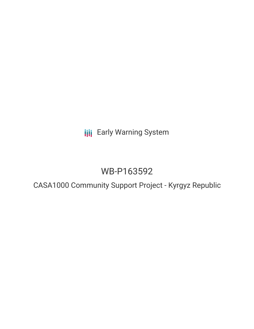**III** Early Warning System

# WB-P163592

## CASA1000 Community Support Project - Kyrgyz Republic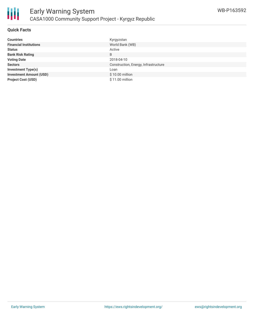

### **Quick Facts**

| <b>Countries</b>               | Kyrgyzstan                           |
|--------------------------------|--------------------------------------|
| <b>Financial Institutions</b>  | World Bank (WB)                      |
| <b>Status</b>                  | Active                               |
| <b>Bank Risk Rating</b>        | B                                    |
| <b>Voting Date</b>             | 2018-04-10                           |
| <b>Sectors</b>                 | Construction, Energy, Infrastructure |
| <b>Investment Type(s)</b>      | Loan                                 |
| <b>Investment Amount (USD)</b> | \$10.00 million                      |
| <b>Project Cost (USD)</b>      | \$11.00 million                      |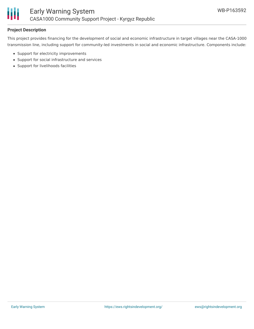

## **Project Description**

This project provides financing for the development of social and economic infrastructure in target villages near the CASA-1000 transmission line, including support for community-led investments in social and economic infrastructure. Components include:

- Support for electricity improvements
- Support for social infrastructure and services
- Support for livelihoods facilities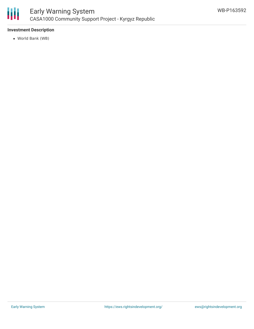

## **Investment Description**

World Bank (WB)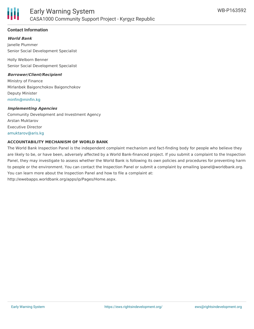

## **Contact Information**

### **World Bank**

Janelle Plummer Senior Social Development Specialist

Holly Welborn Benner Senior Social Development Specialist

#### **Borrower/Client/Recipient**

Ministry of Finance Mirlanbek Baigonchokov Baigonchokov Deputy Minister [minfin@minfin.kg](mailto:minfin@minfin.kg)

#### **Implementing Agencies**

Community Development and Investment Agency Arstan Muktarov Executive Director [amuktarov@aris.kg](mailto:amuktarov@aris.kg)

#### **ACCOUNTABILITY MECHANISM OF WORLD BANK**

The World Bank Inspection Panel is the independent complaint mechanism and fact-finding body for people who believe they are likely to be, or have been, adversely affected by a World Bank-financed project. If you submit a complaint to the Inspection Panel, they may investigate to assess whether the World Bank is following its own policies and procedures for preventing harm to people or the environment. You can contact the Inspection Panel or submit a complaint by emailing ipanel@worldbank.org. You can learn more about the Inspection Panel and how to file a complaint at: http://ewebapps.worldbank.org/apps/ip/Pages/Home.aspx.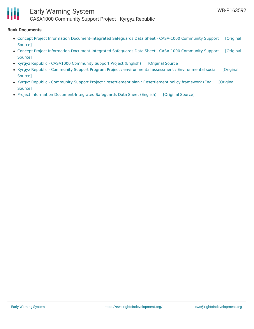

## Early Warning System

CASA1000 Community Support Project - Kyrgyz Republic

#### **Bank Documents**

- Concept Project Information [Document-Integrated](https://ewsdata.rightsindevelopment.org/files/documents/92/WB-P163592_Ch0vGuB.pdf) Safeguards Data Sheet CASA-1000 Community Support [Original Source]
- Concept Project Information [Document-Integrated](https://ewsdata.rightsindevelopment.org/files/documents/92/WB-P163592_0XqNkYg.pdf) Safeguards Data Sheet CASA-1000 Community Support [Original Source]
- Kyrgyz Republic CASA1000 [Community](https://ewsdata.rightsindevelopment.org/files/documents/92/WB-P163592.pdf) Support Project (English) [\[Original](http://documents.worldbank.org/curated/en/878901523584951785/pdf/PAD-FINAL-Kyrgyz-Republic-P163592-03262018.pdf) Source]
- Kyrgyz Republic Community Support Program Project : environmental assessment : [Environmental](http://documents.worldbank.org/curated/en/974421511961652743/pdf/SFG3832-EA-P163592-Box405314B-PUBLIC-Disclosed-11-29-2017.pdf) socia [Original Source]
- Kyrgyz Republic Community Support Project : resettlement plan : [Resettlement](http://documents.worldbank.org/curated/en/670691512449094472/pdf/SFG3834-RP-P163592-Box405315B-PUBLIC-Disclosed-12-4-2017.pdf) policy framework (Eng [Original Source]
- Project Information [Document-Integrated](https://ewsdata.rightsindevelopment.org/files/documents/92/WB-P163592_IXTQhdy.pdf) Safeguards Data Sheet (English) [\[Original](http://documents.worldbank.org/curated/en/737061515732340772/pdf/Project-Information-Document-Integrated-Safeguards-Data-Sheet.pdf) Source]